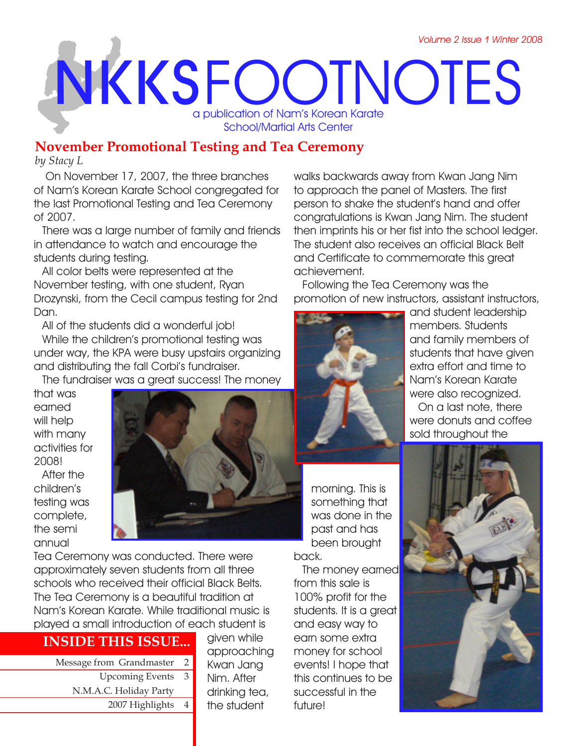# **NKKS** FOOTNOTES a publication of Nam's Korean Karate School/Martial Arts Center

## **November Promotional Testing and Tea Ceremony**

*by Stacy L* 

 On November 17, 2007, the three branches of Nam's Korean Karate School congregated for the last Promotional Testing and Tea Ceremony of 2007.

There was a large number of family and friends in attendance to watch and encourage the students during testing.

All color belts were represented at the November testing, with one student, Ryan Drozynski, from the Cecil campus testing for 2nd Dan.

All of the students did a wonderful job! While the children's promotional testing was under way, the KPA were busy upstairs organizing and distributing the fall Corbi's fundraiser.

The fundraiser was a great success! The money

that was earned will help with many activities for 2008! After the children's testing was complete, the semi annual



Tea Ceremony was conducted. There were approximately seven students from all three schools who received their official Black Belts. The Tea Ceremony is a beautiful tradition at Nam's Korean Karate. While traditional music is played a small introduction of each student is

## **INSIDE THIS ISSUE...**

Message from Grandmaster 2 Upcoming Events 3 N.M.A.C. Holiday Party 2007 Highlights 4 given while approaching Kwan Jang Nim. After drinking tea, the student

walks backwards away from Kwan Jang Nim to approach the panel of Masters. The first person to shake the student's hand and offer congratulations is Kwan Jang Nim. The student then imprints his or her fist into the school ledger. The student also receives an official Black Belt and Certificate to commemorate this great achievement.

Following the Tea Ceremony was the promotion of new instructors, assistant instructors,



and student leadership members. Students and family members of students that have given extra effort and time to Nam's Korean Karate were also recognized.

On a last note, there were donuts and coffee sold throughout the

morning. This is something that was done in the past and has been brought back.

The money earned from this sale is 100% profit for the students. It is a great and easy way to earn some extra money for school events! I hope that this continues to be successful in the future!

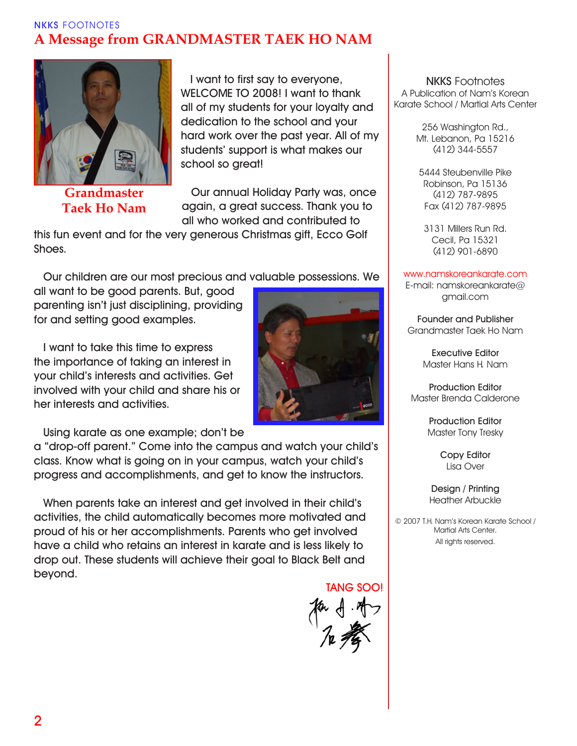## **NKKS** FOOTNOTES **A Message from GRANDMASTER TAEK HO NAM**



**Grandmaster Taek Ho Nam**

**I want to first say to everyone, WELCOME TO 2008! I want to thank all of my students for your loyalty and dedication to the school and your hard work over the past year. All of my students' support is what makes our school so great!**

**Our annual Holiday Party was, once again, a great success. Thank you to all who worked and contributed to** 

**this fun event and for the very generous Christmas gift, Ecco Golf Shoes.**

**Our children are our most precious and valuable possessions. We** 

**all want to be good parents. But, good parenting isn't just disciplining, providing for and setting good examples.**

**I want to take this time to express the importance of taking an interest in your child's interests and activities. Get involved with your child and share his or her interests and activities.**

**Using karate as one example; don't be** 

**a "drop-off parent." Come into the campus and watch your child's class. Know what is going on in your campus, watch your child's progress and accomplishments, and get to know the instructors.**

**When parents take an interest and get involved in their child's activities, the child automatically becomes more motivated and proud of his or her accomplishments. Parents who get involved have a child who retains an interest in karate and is less likely to drop out. These students will achieve their goal to Black Belt and beyond.**

 **TANG SOO!**



**NKKS** Footnotes A Publication of Nam's Korean Karate School / Martial Arts Center

> 256 Washington Rd., Mt. Lebanon, Pa 15216 (412) 344-5557

5444 Steubenville Pike Robinson, Pa 15136 (412) 787-9895 Fax (412) 787-9895

3131 Millers Run Rd. Cecil, Pa 15321 (412) 901-6890

#### www.namskoreankarate.com

E-mail: namskoreankarate@ gmail.com

**Founder and Publisher** Grandmaster Taek Ho Nam

> **Executive Editor** Master Hans H. Nam

**Production Editor** Master Brenda Calderone

> **Production Editor** Master Tony Tresky

> > **Copy Editor** Lisa Over

**Design / Printing** Heather Arbuckle

© 2007 T.H. Nam's Korean Karate School / Martial Arts Center. All rights reserved.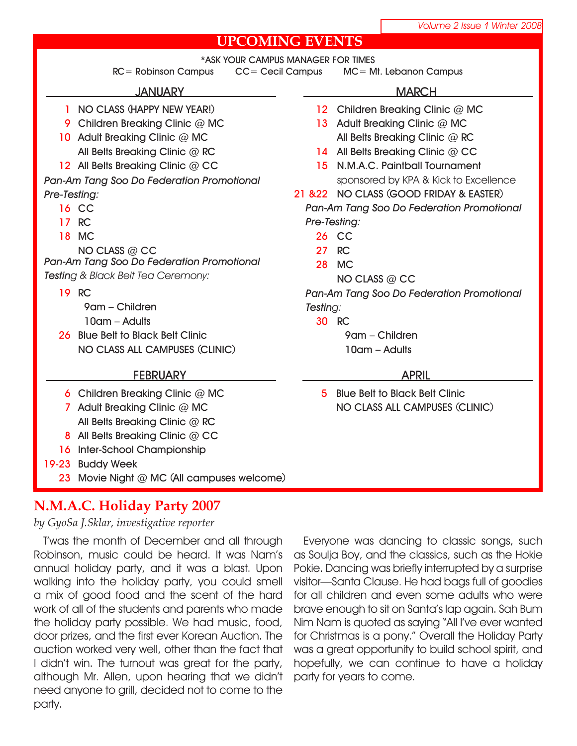## **UPCOMING EVENTS**

**\*ASK YOUR CAMPUS MANAGER FOR TIMES**

**RC= Robinson Campus CC= Cecil Campus MC= Mt. Lebanon Campus**

#### **JANUARY**

- **NO CLASS (HAPPY NEW YEAR!) 1**
- **Children Breaking Clinic @ MC 9**
- **Adult Breaking Clinic @ MC 10 All Belts Breaking Clinic @ RC**
- **All Belts Breaking Clinic @ CC 12**

*Pan-Am Tang Soo Do Federation Promotional Pre-Testing:*

- 16 CC
- **RC 17**
- **MC 18**

**NO CLASS @ CC** *Pan-Am Tang Soo Do Federation Promotional Testing & Black Belt Tea Ceremony:*

- **RC 19**
	- **9am Children 10am – Adults**
- **Blue Belt to Black Belt Clinic 26 NO CLASS ALL CAMPUSES (CLINIC)**

#### **FEBRUARY**

- **Children Breaking Clinic @ MC 6**
- **Adult Breaking Clinic @ MC 7 All Belts Breaking Clinic @ RC**
- **All Belts Breaking Clinic @ CC 8**
- 16 Inter-School Championship
- **Buddy Week 19-23**
	- **Movie Night @ MC (All campuses welcome) 23**

## **N.M.A.C. Holiday Party 2007**

*by GyoSa J.Sklar, investigative reporter*

T'was the month of December and all through Robinson, music could be heard. It was Nam's annual holiday party, and it was a blast. Upon walking into the holiday party, you could smell a mix of good food and the scent of the hard work of all of the students and parents who made the holiday party possible. We had music, food, door prizes, and the first ever Korean Auction. The auction worked very well, other than the fact that I didn't win. The turnout was great for the party, although Mr. Allen, upon hearing that we didn't need anyone to grill, decided not to come to the party.

#### **MARCH**

- 12 Children Breaking Clinic @ MC
- **Adult Breaking Clinic @ MC 13 All Belts Breaking Clinic @ RC**
- 14 All Belts Breaking Clinic @ CC
- **N.M.A.C. Paintball Tournament 15** sponsored by KPA & Kick to Excellence
- **NO CLASS (GOOD FRIDAY & EASTER) 21 &22**
	- *Pan-Am Tang Soo Do Federation Promotional Pre-Testing:*
		- **CC 26**
		- **RC 27**
		- **MC 28**
			- **NO CLASS @ CC**

*Pan-Am Tang Soo Do Federation Promotional Testing:*

**RC 30**

**9am – Children 10am – Adults**

#### **APRIL**

**Blue Belt to Black Belt Clinic 5NO CLASS ALL CAMPUSES (CLINIC)**

Everyone was dancing to classic songs, such as Soulja Boy, and the classics, such as the Hokie Pokie. Dancing was briefly interrupted by a surprise visitor—Santa Clause. He had bags full of goodies for all children and even some adults who were brave enough to sit on Santa's lap again. Sah Bum Nim Nam is quoted as saying "All I've ever wanted for Christmas is a pony." Overall the Holiday Party was a great opportunity to build school spirit, and hopefully, we can continue to have a holiday party for years to come.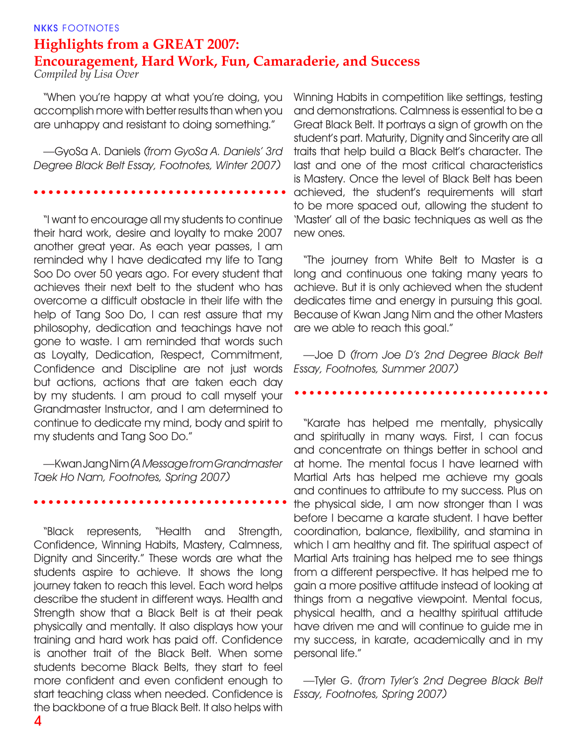#### **NKKS** FOOTNOTES **Highlights from a GREAT 2007: Encouragement, Hard Work, Fun, Camaraderie, and Success** *Compiled by Lisa Over*

"When you're happy at what you're doing, you accomplish more with better results than when you are unhappy and resistant to doing something."

—GyoSa A. Daniels *(from GyoSa A. Daniels' 3rd Degree Black Belt Essay, Footnotes, Winter 2007)*

"I want to encourage all my students to continue their hard work, desire and loyalty to make 2007 another great year. As each year passes, I am reminded why I have dedicated my life to Tang Soo Do over 50 years ago. For every student that achieves their next belt to the student who has overcome a difficult obstacle in their life with the help of Tang Soo Do, I can rest assure that my philosophy, dedication and teachings have not gone to waste. I am reminded that words such as Loyalty, Dedication, Respect, Commitment, Confidence and Discipline are not just words but actions, actions that are taken each day by my students. I am proud to call myself your Grandmaster Instructor, and I am determined to continue to dedicate my mind, body and spirit to my students and Tang Soo Do."

—Kwan Jang Nim *(A Message from Grandmaster Taek Ho Nam, Footnotes, Spring 2007)*

"Black represents, "Health and Strength, Confidence, Winning Habits, Mastery, Calmness, Dignity and Sincerity." These words are what the students aspire to achieve. It shows the long journey taken to reach this level. Each word helps describe the student in different ways. Health and Strength show that a Black Belt is at their peak physically and mentally. It also displays how your training and hard work has paid off. Confidence is another trait of the Black Belt. When some students become Black Belts, they start to feel more confident and even confident enough to start teaching class when needed. Confidence is the backbone of a true Black Belt. It also helps with

Winning Habits in competition like settings, testing and demonstrations. Calmness is essential to be a Great Black Belt. It portrays a sign of growth on the student's part. Maturity, Dignity and Sincerity are all traits that help build a Black Belt's character. The last and one of the most critical characteristics is Mastery. Once the level of Black Belt has been achieved, the student's requirements will start to be more spaced out, allowing the student to 'Master' all of the basic techniques as well as the new ones.

"The journey from White Belt to Master is a long and continuous one taking many years to achieve. But it is only achieved when the student dedicates time and energy in pursuing this goal. Because of Kwan Jang Nim and the other Masters are we able to reach this goal."

—Joe D *(from Joe D's 2nd Degree Black Belt Essay, Footnotes, Summer 2007)*

"Karate has helped me mentally, physically and spiritually in many ways. First, I can focus and concentrate on things better in school and at home. The mental focus I have learned with Martial Arts has helped me achieve my goals and continues to attribute to my success. Plus on the physical side, I am now stronger than I was before I became a karate student. I have better coordination, balance, flexibility, and stamina in which I am healthy and fit. The spiritual aspect of Martial Arts training has helped me to see things from a different perspective. It has helped me to gain a more positive attitude instead of looking at things from a negative viewpoint. Mental focus, physical health, and a healthy spiritual attitude have driven me and will continue to guide me in my success, in karate, academically and in my personal life."

—Tyler G. *(from Tyler's 2nd Degree Black Belt Essay, Footnotes, Spring 2007)*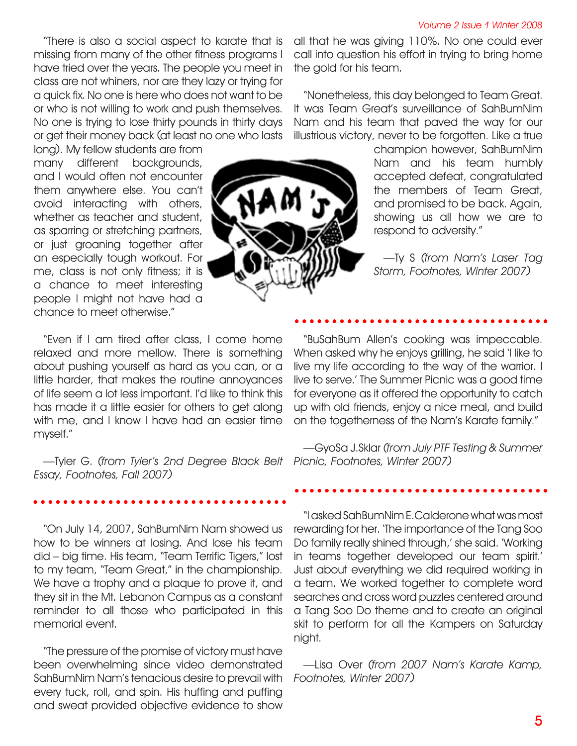"There is also a social aspect to karate that is missing from many of the other fitness programs I have tried over the years. The people you meet in class are not whiners, nor are they lazy or trying for a quick fix. No one is here who does not want to be or who is not willing to work and push themselves. No one is trying to lose thirty pounds in thirty days or get their money back (at least no one who lasts

long). My fellow students are from many different backgrounds, and I would often not encounter them anywhere else. You can't avoid interacting with others, whether as teacher and student, as sparring or stretching partners, or just groaning together after an especially tough workout. For me, class is not only fitness; it is a chance to meet interesting people I might not have had a chance to meet otherwise."



all that he was giving 110%. No one could ever call into question his effort in trying to bring home the gold for his team.

"Nonetheless, this day belonged to Team Great. It was Team Great's surveillance of SahBumNim Nam and his team that paved the way for our illustrious victory, never to be forgotten. Like a true

> champion however, SahBumNim Nam and his team humbly accepted defeat, congratulated the members of Team Great, and promised to be back. Again, showing us all how we are to respond to adversity."

> —Ty S *(from Nam's Laser Tag Storm, Footnotes, Winter 2007)*

"Even if I am tired after class, I come home relaxed and more mellow. There is something about pushing yourself as hard as you can, or a little harder, that makes the routine annoyances of life seem a lot less important. I'd like to think this has made it a little easier for others to get along with me, and I know I have had an easier time myself."

—Tyler G. *(from Tyler's 2nd Degree Black Belt Picnic, Footnotes, Winter 2007) Essay, Footnotes, Fall 2007)*

"On July 14, 2007, SahBumNim Nam showed us how to be winners at losing. And lose his team did – big time. His team, "Team Terrific Tigers," lost to my team, "Team Great," in the championship. We have a trophy and a plaque to prove it, and they sit in the Mt. Lebanon Campus as a constant reminder to all those who participated in this memorial event.

"The pressure of the promise of victory must have been overwhelming since video demonstrated SahBumNim Nam's tenacious desire to prevail with every tuck, roll, and spin. His huffing and puffing and sweat provided objective evidence to show

"BuSahBum Allen's cooking was impeccable. When asked why he enjoys grilling, he said 'I like to live my life according to the way of the warrior. I live to serve.' The Summer Picnic was a good time for everyone as it offered the opportunity to catch up with old friends, enjoy a nice meal, and build on the togetherness of the Nam's Karate family."

—GyoSa J.Sklar *(from July PTF Testing & Summer* 

"I asked SahBumNim E.Calderone what was most rewarding for her. 'The importance of the Tang Soo Do family really shined through,' she said. 'Working in teams together developed our team spirit.' Just about everything we did required working in a team. We worked together to complete word searches and cross word puzzles centered around a Tang Soo Do theme and to create an original skit to perform for all the Kampers on Saturday night.

—Lisa Over *(from 2007 Nam's Karate Kamp, Footnotes, Winter 2007)*